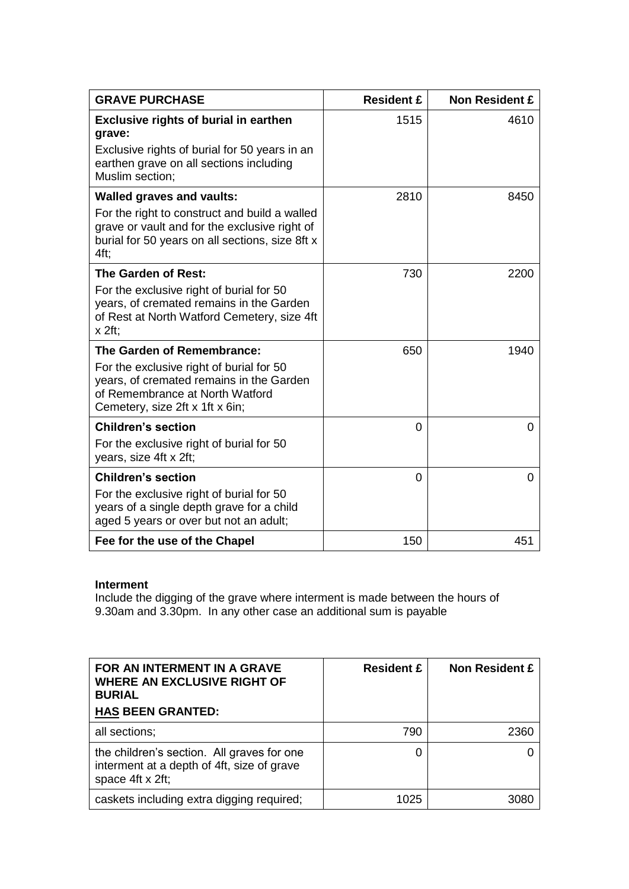| <b>GRAVE PURCHASE</b>                                                                                                                                                                         | <b>Resident £</b> | <b>Non Resident £</b> |
|-----------------------------------------------------------------------------------------------------------------------------------------------------------------------------------------------|-------------------|-----------------------|
| <b>Exclusive rights of burial in earthen</b><br>grave:<br>Exclusive rights of burial for 50 years in an<br>earthen grave on all sections including<br>Muslim section;                         | 1515              | 4610                  |
| <b>Walled graves and vaults:</b><br>For the right to construct and build a walled<br>grave or vault and for the exclusive right of<br>burial for 50 years on all sections, size 8ft x<br>4ft; | 2810              | 8450                  |
| The Garden of Rest:<br>For the exclusive right of burial for 50<br>years, of cremated remains in the Garden<br>of Rest at North Watford Cemetery, size 4ft<br>$x$ 2ft;                        | 730               | 2200                  |
| The Garden of Remembrance:<br>For the exclusive right of burial for 50<br>years, of cremated remains in the Garden<br>of Remembrance at North Watford<br>Cemetery, size 2ft x 1ft x 6in;      | 650               | 1940                  |
| <b>Children's section</b><br>For the exclusive right of burial for 50<br>years, size 4ft x 2ft;                                                                                               | 0                 | $\Omega$              |
| <b>Children's section</b><br>For the exclusive right of burial for 50<br>years of a single depth grave for a child<br>aged 5 years or over but not an adult;                                  | 0                 | $\Omega$              |
| Fee for the use of the Chapel                                                                                                                                                                 | 150               | 451                   |

## **Interment**

Include the digging of the grave where interment is made between the hours of 9.30am and 3.30pm. In any other case an additional sum is payable

| FOR AN INTERMENT IN A GRAVE<br><b>WHERE AN EXCLUSIVE RIGHT OF</b><br><b>BURIAL</b><br><b>HAS BEEN GRANTED:</b> | <b>Resident £</b> | <b>Non Resident £</b> |
|----------------------------------------------------------------------------------------------------------------|-------------------|-----------------------|
| all sections;                                                                                                  | 790               | 2360                  |
| the children's section. All graves for one<br>interment at a depth of 4ft, size of grave<br>space 4ft x 2ft;   | 0                 |                       |
| caskets including extra digging required;                                                                      | 1025              | 3080                  |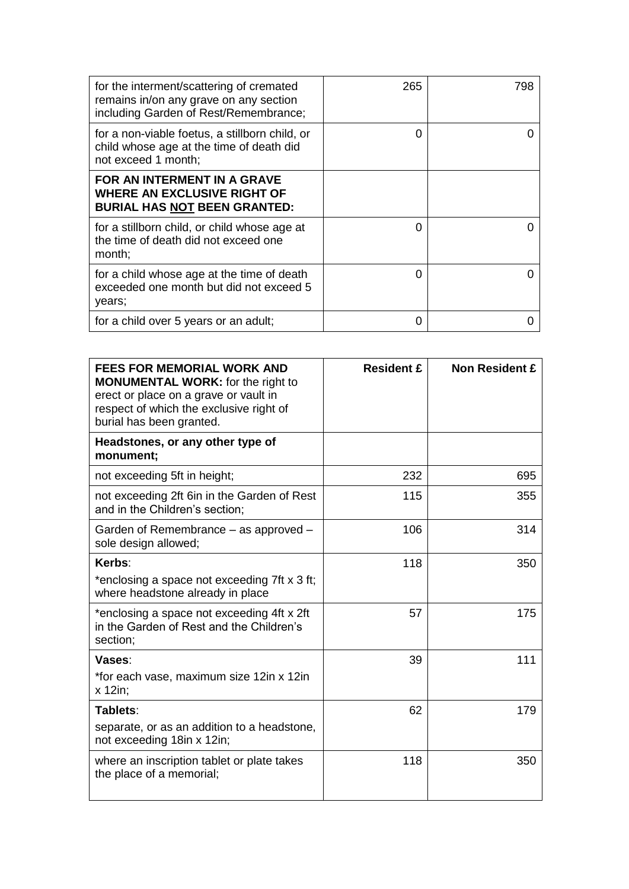| for the interment/scattering of cremated<br>remains in/on any grave on any section<br>including Garden of Rest/Remembrance; | 265 | 798 |
|-----------------------------------------------------------------------------------------------------------------------------|-----|-----|
| for a non-viable foetus, a stillborn child, or<br>child whose age at the time of death did<br>not exceed 1 month;           | 0   |     |
| FOR AN INTERMENT IN A GRAVE<br><b>WHERE AN EXCLUSIVE RIGHT OF</b><br><b>BURIAL HAS NOT BEEN GRANTED:</b>                    |     |     |
| for a stillborn child, or child whose age at<br>the time of death did not exceed one<br>month;                              | 0   |     |
| for a child whose age at the time of death<br>exceeded one month but did not exceed 5<br>years;                             | 0   |     |
| for a child over 5 years or an adult;                                                                                       | O   |     |

| <b>FEES FOR MEMORIAL WORK AND</b><br><b>MONUMENTAL WORK:</b> for the right to<br>erect or place on a grave or vault in<br>respect of which the exclusive right of<br>burial has been granted. | <b>Resident £</b> | <b>Non Resident £</b> |
|-----------------------------------------------------------------------------------------------------------------------------------------------------------------------------------------------|-------------------|-----------------------|
| Headstones, or any other type of<br>monument;                                                                                                                                                 |                   |                       |
| not exceeding 5ft in height;                                                                                                                                                                  | 232               | 695                   |
| not exceeding 2ft 6in in the Garden of Rest<br>and in the Children's section;                                                                                                                 | 115               | 355                   |
| Garden of Remembrance – as approved –<br>sole design allowed;                                                                                                                                 | 106               | 314                   |
| Kerbs:                                                                                                                                                                                        | 118               | 350                   |
| *enclosing a space not exceeding 7ft x 3 ft;<br>where headstone already in place                                                                                                              |                   |                       |
| *enclosing a space not exceeding 4ft x 2ft<br>in the Garden of Rest and the Children's<br>section;                                                                                            | 57                | 175                   |
| Vases:                                                                                                                                                                                        | 39                | 111                   |
| *for each vase, maximum size 12in x 12in<br>x 12in;                                                                                                                                           |                   |                       |
| Tablets:                                                                                                                                                                                      | 62                | 179                   |
| separate, or as an addition to a headstone,<br>not exceeding 18in x 12in;                                                                                                                     |                   |                       |
| where an inscription tablet or plate takes<br>the place of a memorial;                                                                                                                        | 118               | 350                   |